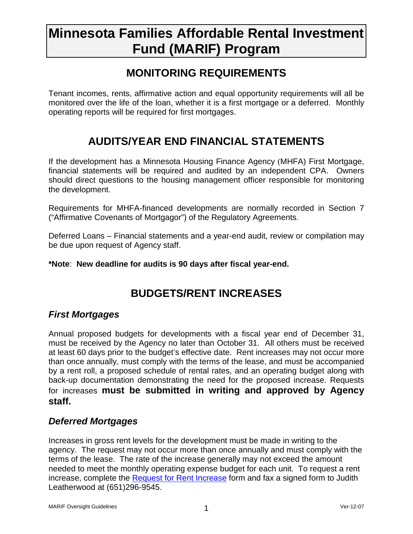# **Minnesota Families Affordable Rental Investment Fund (MARIF) Program**

### **MONITORING REQUIREMENTS**

Tenant incomes, rents, affirmative action and equal opportunity requirements will all be monitored over the life of the loan, whether it is a first mortgage or a deferred. Monthly operating reports will be required for first mortgages.

## **AUDITS/YEAR END FINANCIAL STATEMENTS**

If the development has a Minnesota Housing Finance Agency (MHFA) First Mortgage, financial statements will be required and audited by an independent CPA. Owners should direct questions to the housing management officer responsible for monitoring the development.

Requirements for MHFA-financed developments are normally recorded in Section 7 ("Affirmative Covenants of Mortgagor") of the Regulatory Agreements.

Deferred Loans – Financial statements and a year-end audit, review or compilation may be due upon request of Agency staff.

#### **\*Note**: **New deadline for audits is 90 days after fiscal year-end.**

## **BUDGETS/RENT INCREASES**

### **First Mortgages**

Annual proposed budgets for developments with a fiscal year end of December 31, must be received by the Agency no later than October 31. All others must be received at least 60 days prior to the budget's effective date. Rent increases may not occur more than once annually, must comply with the terms of the lease, and must be accompanied by a rent roll, a proposed schedule of rental rates, and an operating budget along with back-up documentation demonstrating the need for the proposed increase. Requests for increases **must be submitted in writing and approved by Agency staff.** 

### **Deferred Mortgages**

Increases in gross rent levels for the development must be made in writing to the agency. The request may not occur more than once annually and must comply with the terms of the lease. The rate of the increase generally may not exceed the amount needed to meet the monthly operating expense budget for each unit. To request a rent increase, complete the [Request for Rent Increas](http://www.mnhousing.gov/idc/groups/public/documents/document/mhfa_006609.rtf)e form and fax a signed form to Judith Leatherwood at (651)296-9545.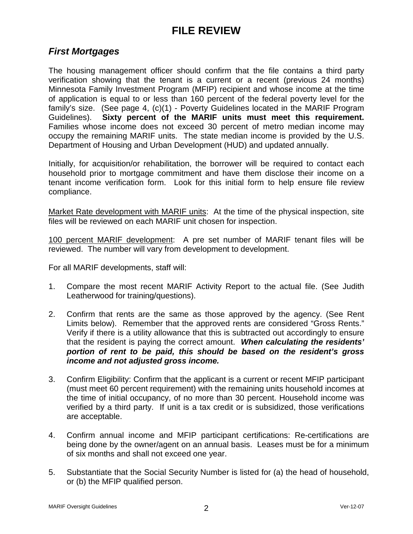## **FILE REVIEW**

#### **First Mortgages**

The housing management officer should confirm that the file contains a third party verification showing that the tenant is a current or a recent (previous 24 months) Minnesota Family Investment Program (MFIP) recipient and whose income at the time of application is equal to or less than 160 percent of the federal poverty level for the family's size. (See page 4, (c)(1) - Poverty Guidelines located in the MARIF Program Guidelines). **Sixty percent of the MARIF units must meet this requirement.**  Families whose income does not exceed 30 percent of metro median income may occupy the remaining MARIF units. The state median income is provided by the U.S. Department of Housing and Urban Development (HUD) and updated annually.

Initially, for acquisition/or rehabilitation, the borrower will be required to contact each household prior to mortgage commitment and have them disclose their income on a tenant income verification form. Look for this initial form to help ensure file review compliance.

Market Rate development with MARIF units: At the time of the physical inspection, site files will be reviewed on each MARIF unit chosen for inspection.

100 percent MARIF development: A pre set number of MARIF tenant files will be reviewed. The number will vary from development to development.

For all MARIF developments, staff will:

- 1. Compare the most recent MARIF Activity Report to the actual file. (See Judith Leatherwood for training/questions).
- 2. Confirm that rents are the same as those approved by the agency. (See Rent Limits below). Remember that the approved rents are considered "Gross Rents." Verify if there is a utility allowance that this is subtracted out accordingly to ensure that the resident is paying the correct amount. **When calculating the residents' portion of rent to be paid, this should be based on the resident's gross income and not adjusted gross income.**
- 3. Confirm Eligibility: Confirm that the applicant is a current or recent MFIP participant (must meet 60 percent requirement) with the remaining units household incomes at the time of initial occupancy, of no more than 30 percent. Household income was verified by a third party. If unit is a tax credit or is subsidized, those verifications are acceptable.
- 4. Confirm annual income and MFIP participant certifications: Re-certifications are being done by the owner/agent on an annual basis. Leases must be for a minimum of six months and shall not exceed one year.
- 5. Substantiate that the Social Security Number is listed for (a) the head of household, or (b) the MFIP qualified person.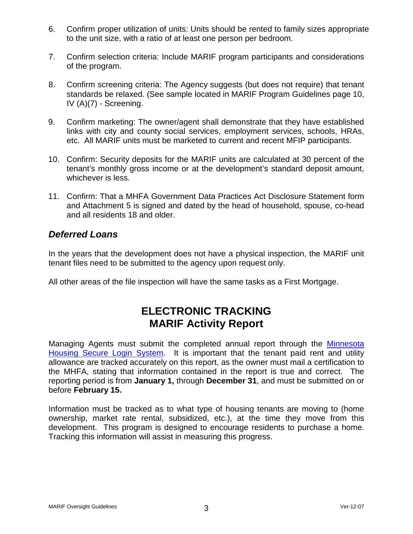- 6. Confirm proper utilization of units: Units should be rented to family sizes appropriate to the unit size, with a ratio of at least one person per bedroom.
- 7. Confirm selection criteria: Include MARIF program participants and considerations of the program.
- 8. Confirm screening criteria: The Agency suggests (but does not require) that tenant standards be relaxed. (See sample located in MARIF Program Guidelines page 10, IV (A)(7) - Screening.
- 9. Confirm marketing: The owner/agent shall demonstrate that they have established links with city and county social services, employment services, schools, HRAs, etc. All MARIF units must be marketed to current and recent MFIP participants.
- 10. Confirm: Security deposits for the MARIF units are calculated at 30 percent of the tenant's monthly gross income or at the development's standard deposit amount, whichever is less.
- 11. Confirm: That a MHFA Government Data Practices Act Disclosure Statement form and Attachment 5 is signed and dated by the head of household, spouse, co-head and all residents 18 and older.

#### **Deferred Loans**

In the years that the development does not have a physical inspection, the MARIF unit tenant files need to be submitted to the agency upon request only.

All other areas of the file inspection will have the same tasks as a First Mortgage.

### **ELECTRONIC TRACKING MARIF Activity Report**

Managing Agents must submit the completed annual report through the [Minnesota](https://online.mhfa.state.mn.us/MHFA-Secure-Uploads/)  [Housing Secure Login System](https://online.mhfa.state.mn.us/MHFA-Secure-Uploads/). It is important that the tenant paid rent and utility allowance are tracked accurately on this report, as the owner must mail a certification to the MHFA, stating that information contained in the report is true and correct. The reporting period is from **January 1,** through **December 31**, and must be submitted on or before **February 15.**

Information must be tracked as to what type of housing tenants are moving to (home ownership, market rate rental, subsidized, etc.), at the time they move from this development. This program is designed to encourage residents to purchase a home. Tracking this information will assist in measuring this progress.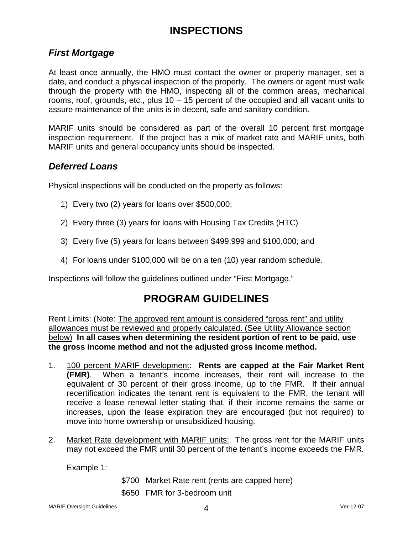## **INSPECTIONS**

### **First Mortgage**

At least once annually, the HMO must contact the owner or property manager, set a date, and conduct a physical inspection of the property. The owners or agent must walk through the property with the HMO, inspecting all of the common areas, mechanical rooms, roof, grounds, etc., plus 10 – 15 percent of the occupied and all vacant units to assure maintenance of the units is in decent, safe and sanitary condition.

MARIF units should be considered as part of the overall 10 percent first mortgage inspection requirement. If the project has a mix of market rate and MARIF units, both MARIF units and general occupancy units should be inspected.

#### **Deferred Loans**

Physical inspections will be conducted on the property as follows:

- 1) Every two (2) years for loans over \$500,000;
- 2) Every three (3) years for loans with Housing Tax Credits (HTC)
- 3) Every five (5) years for loans between \$499,999 and \$100,000; and
- 4) For loans under \$100,000 will be on a ten (10) year random schedule.

Inspections will follow the guidelines outlined under "First Mortgage."

### **PROGRAM GUIDELINES**

Rent Limits: (Note: The approved rent amount is considered "gross rent" and utility allowances must be reviewed and properly calculated. (See Utility Allowance section below) **In all cases when determining the resident portion of rent to be paid, use the gross income method and not the adjusted gross income method.** 

- 1. 100 percent MARIF development: **Rents are capped at the Fair Market Rent (FMR)**. When a tenant's income increases, their rent will increase to the equivalent of 30 percent of their gross income, up to the FMR. If their annual recertification indicates the tenant rent is equivalent to the FMR, the tenant will receive a lease renewal letter stating that, if their income remains the same or increases, upon the lease expiration they are encouraged (but not required) to move into home ownership or unsubsidized housing.
- 2. Market Rate development with MARIF units: The gross rent for the MARIF units may not exceed the FMR until 30 percent of the tenant's income exceeds the FMR.

Example 1:

- \$700 Market Rate rent (rents are capped here)
- \$650 FMR for 3-bedroom unit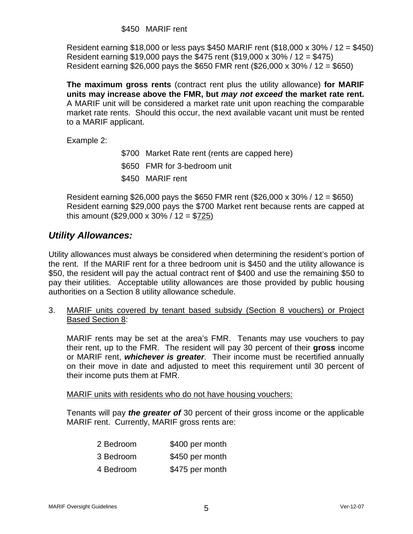Resident earning \$18,000 or less pays \$450 MARIF rent (\$18,000 x 30% / 12 = \$450) Resident earning \$19,000 pays the \$475 rent (\$19,000 x 30% / 12 = \$475) Resident earning \$26,000 pays the \$650 FMR rent (\$26,000 x 30% / 12 = \$650)

**The maximum gross rents** (contract rent plus the utility allowance) **for MARIF units may increase above the FMR, but may not exceed the market rate rent.**  A MARIF unit will be considered a market rate unit upon reaching the comparable market rate rents. Should this occur, the next available vacant unit must be rented to a MARIF applicant.

Example 2:

 \$700 Market Rate rent (rents are capped here) \$650 FMR for 3-bedroom unit \$450 MARIF rent

Resident earning \$26,000 pays the \$650 FMR rent (\$26,000 x 30% / 12 = \$650) Resident earning \$29,000 pays the \$700 Market rent because rents are capped at this amount (\$29,000 x 30% / 12 = \$725)

#### **Utility Allowances:**

Utility allowances must always be considered when determining the resident's portion of the rent. If the MARIF rent for a three bedroom unit is \$450 and the utility allowance is \$50, the resident will pay the actual contract rent of \$400 and use the remaining \$50 to pay their utilities. Acceptable utility allowances are those provided by public housing authorities on a Section 8 utility allowance schedule.

3. MARIF units covered by tenant based subsidy (Section 8 vouchers) or Project Based Section 8:

 MARIF rents may be set at the area's FMR. Tenants may use vouchers to pay their rent, up to the FMR. The resident will pay 30 percent of their **gross** income or MARIF rent, **whichever is greater**. Their income must be recertified annually on their move in date and adjusted to meet this requirement until 30 percent of their income puts them at FMR.

MARIF units with residents who do not have housing vouchers:

Tenants will pay **the greater of** 30 percent of their gross income or the applicable MARIF rent. Currently, MARIF gross rents are:

| 2 Bedroom | \$400 per month |
|-----------|-----------------|
| 3 Bedroom | \$450 per month |
| 4 Bedroom | \$475 per month |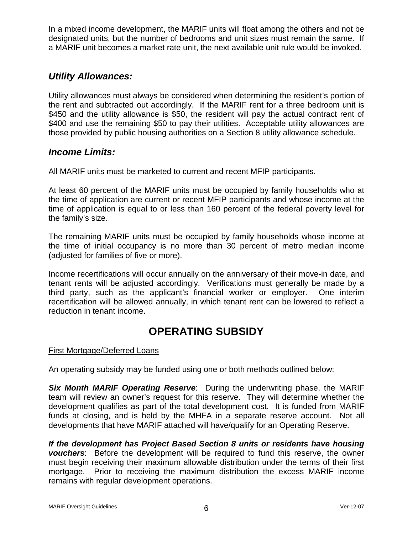In a mixed income development, the MARIF units will float among the others and not be designated units, but the number of bedrooms and unit sizes must remain the same. If a MARIF unit becomes a market rate unit, the next available unit rule would be invoked.

#### **Utility Allowances:**

Utility allowances must always be considered when determining the resident's portion of the rent and subtracted out accordingly. If the MARIF rent for a three bedroom unit is \$450 and the utility allowance is \$50, the resident will pay the actual contract rent of \$400 and use the remaining \$50 to pay their utilities. Acceptable utility allowances are those provided by public housing authorities on a Section 8 utility allowance schedule.

#### **Income Limits:**

All MARIF units must be marketed to current and recent MFIP participants.

At least 60 percent of the MARIF units must be occupied by family households who at the time of application are current or recent MFIP participants and whose income at the time of application is equal to or less than 160 percent of the federal poverty level for the family's size.

The remaining MARIF units must be occupied by family households whose income at the time of initial occupancy is no more than 30 percent of metro median income (adjusted for families of five or more).

Income recertifications will occur annually on the anniversary of their move-in date, and tenant rents will be adjusted accordingly. Verifications must generally be made by a third party, such as the applicant's financial worker or employer. One interim recertification will be allowed annually, in which tenant rent can be lowered to reflect a reduction in tenant income.

## **OPERATING SUBSIDY**

#### First Mortgage/Deferred Loans

An operating subsidy may be funded using one or both methods outlined below:

**Six Month MARIF Operating Reserve**: During the underwriting phase, the MARIF team will review an owner's request for this reserve. They will determine whether the development qualifies as part of the total development cost. It is funded from MARIF funds at closing, and is held by the MHFA in a separate reserve account. Not all developments that have MARIF attached will have/qualify for an Operating Reserve.

**If the development has Project Based Section 8 units or residents have housing vouchers**: Before the development will be required to fund this reserve, the owner must begin receiving their maximum allowable distribution under the terms of their first mortgage. Prior to receiving the maximum distribution the excess MARIF income remains with regular development operations.